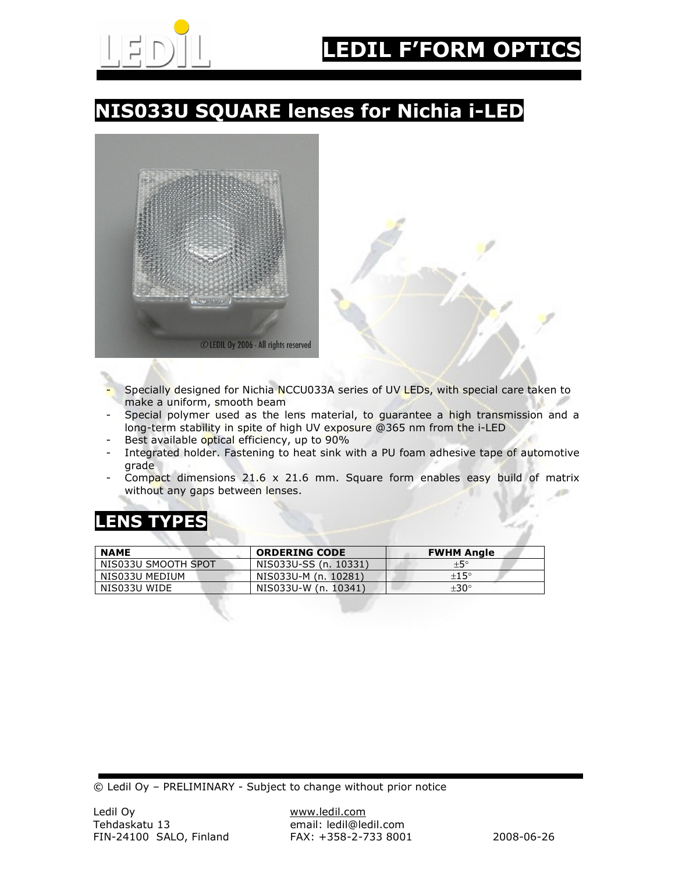

# NIS033U SQUARE lenses for Nichia i-LED



- Specially designed for Nichia NCCU033A series of UV LEDs, with special care taken to make a uniform, smooth beam
- Special polymer used as the lens material, to guarantee a high transmission and a long-term stability in spite of high UV exposure @365 nm from the i-LED
- Best available optical efficiency, up to 90%
- Integrated holder. Fastening to heat sink with a PU foam adhesive tape of automotive grade
- Compact dimensions  $21.6 \times 21.6$  mm. Square form enables easy build of matrix without any gaps between lenses.

### LENS TYPES

| <b>NAME</b>         | <b>ORDERING CODE</b>  | <b>FWHM Angle</b> |
|---------------------|-----------------------|-------------------|
| NIS033U SMOOTH SPOT | NIS033U-SS (n. 10331) | $+5^{\circ}$      |
| NIS033U MEDIUM      | NIS033U-M (n. 10281)  | ±15°              |
| NIS033U WIDE        | NIS033U-W (n. 10341)  | $\pm 30^{\circ}$  |

© Ledil Oy – PRELIMINARY - Subject to change without prior notice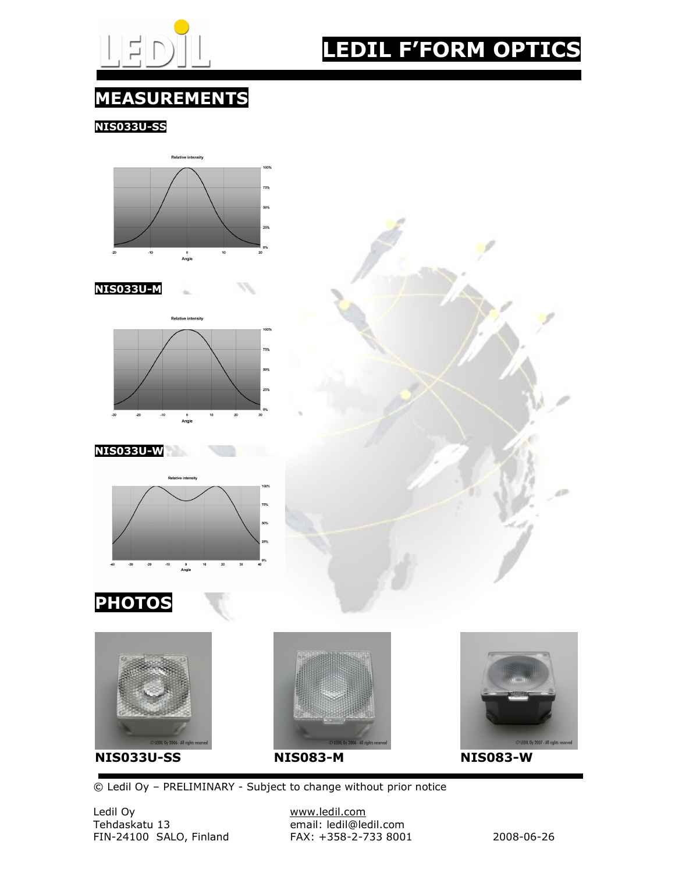

# LEDIL F'FORM OPTICS

### MEASUREMENTS

NIS033U-SS





#### NIS033U-W













© Ledil Oy – PRELIMINARY - Subject to change without prior notice

Ledil Oy www.ledil.com FIN-24100 SALO, Finland FAX: +358-2-733 8001 2008-06-26

email: ledil@ledil.com<br>FAX: +358-2-733 8001